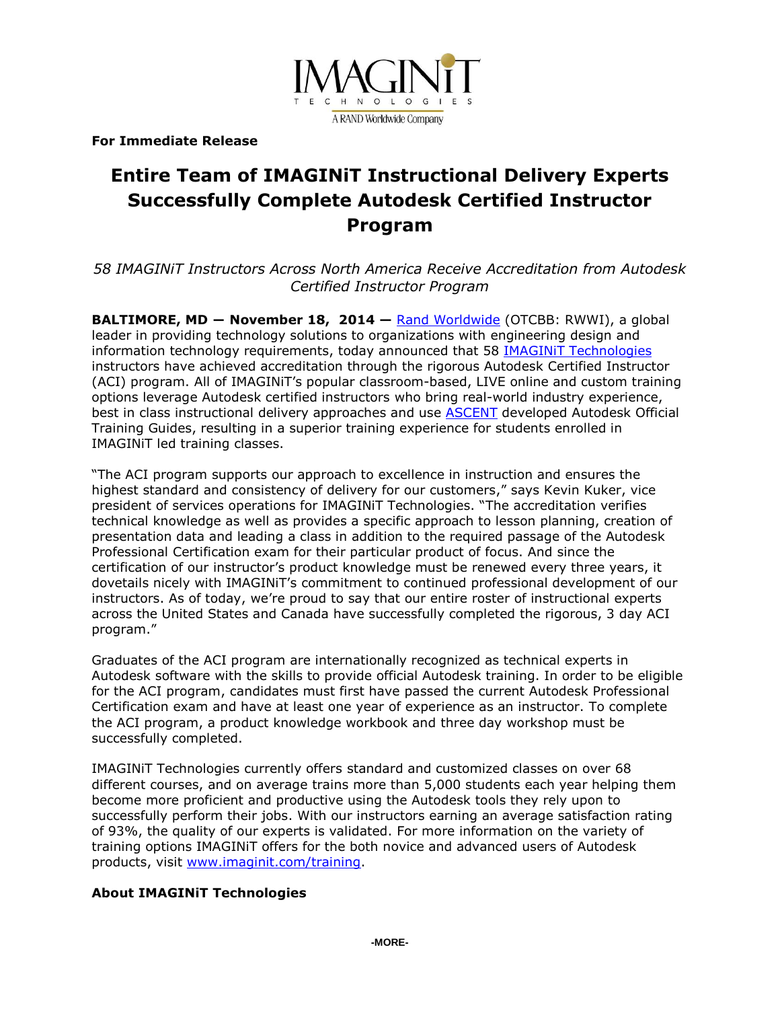

**For Immediate Release**

# **Entire Team of IMAGINiT Instructional Delivery Experts Successfully Complete Autodesk Certified Instructor Program**

*58 IMAGINiT Instructors Across North America Receive Accreditation from Autodesk Certified Instructor Program*

**BALTIMORE, MD ― November 18, 2014 —** [Rand Worldwide](http://www.rand.com/) (OTCBB: RWWI), a global leader in providing technology solutions to organizations with engineering design and information technology requirements, today announced that 58 **IMAGINIT Technologies** instructors have achieved accreditation through the rigorous Autodesk Certified Instructor (ACI) program. All of IMAGINiT's popular classroom-based, LIVE online and custom training options leverage Autodesk certified instructors who bring real-world industry experience, best in class instructional delivery approaches and use [ASCENT](http://www.ascented.com/) developed Autodesk Official Training Guides, resulting in a superior training experience for students enrolled in IMAGINiT led training classes.

"The ACI program supports our approach to excellence in instruction and ensures the highest standard and consistency of delivery for our customers," says Kevin Kuker, vice president of services operations for IMAGINiT Technologies. "The accreditation verifies technical knowledge as well as provides a specific approach to lesson planning, creation of presentation data and leading a class in addition to the required passage of the Autodesk Professional Certification exam for their particular product of focus. And since the certification of our instructor's product knowledge must be renewed every three years, it dovetails nicely with IMAGINiT's commitment to continued professional development of our instructors. As of today, we're proud to say that our entire roster of instructional experts across the United States and Canada have successfully completed the rigorous, 3 day ACI program."

Graduates of the ACI program are internationally recognized as technical experts in Autodesk software with the skills to provide official Autodesk training. In order to be eligible for the ACI program, candidates must first have passed the current Autodesk Professional Certification exam and have at least one year of experience as an instructor. To complete the ACI program, a product knowledge workbook and three day workshop must be successfully completed.

IMAGINiT Technologies currently offers standard and customized classes on over 68 different courses, and on average trains more than 5,000 students each year helping them become more proficient and productive using the Autodesk tools they rely upon to successfully perform their jobs. With our instructors earning an average satisfaction rating of 93%, the quality of our experts is validated. For more information on the variety of training options IMAGINiT offers for the both novice and advanced users of Autodesk products, visit [www.imaginit.com/training.](http://www.imaginit.com/training)

#### **About IMAGINiT Technologies**